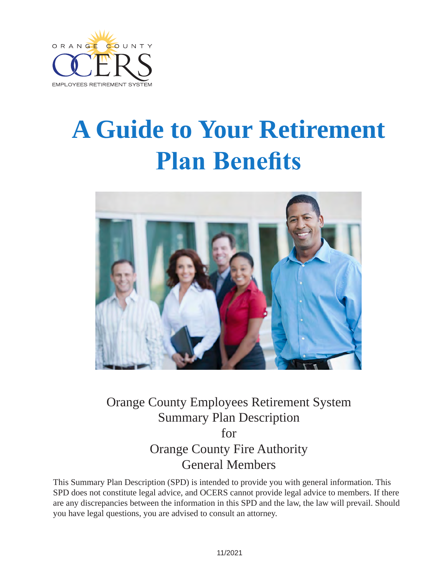

# **A Guide to Your Retirement Plan Benefits**



Orange County Employees Retirement System Summary Plan Description for Orange County Fire Authority General Members

This Summary Plan Description (SPD) is intended to provide you with general information. This SPD does not constitute legal advice, and OCERS cannot provide legal advice to members. If there are any discrepancies between the information in this SPD and the law, the law will prevail. Should you have legal questions, you are advised to consult an attorney.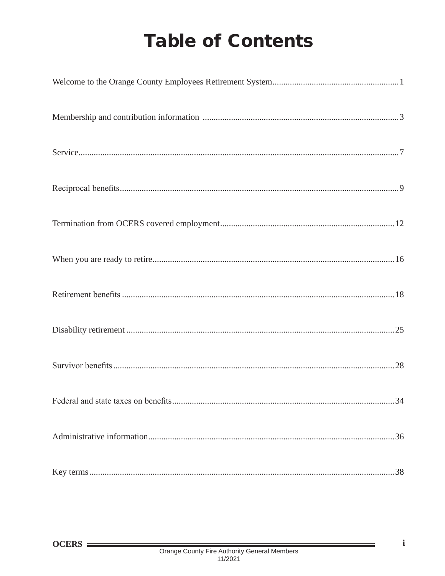## **Table of Contents**

 $=$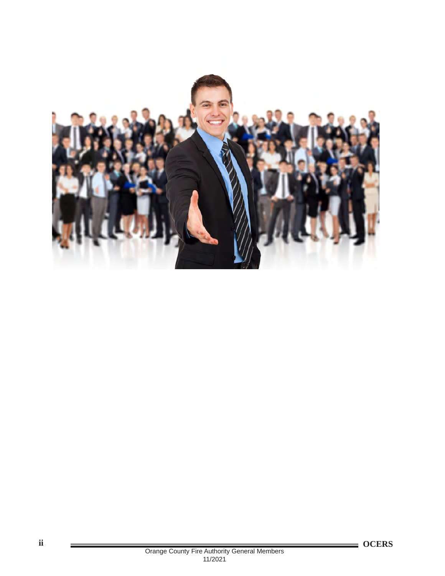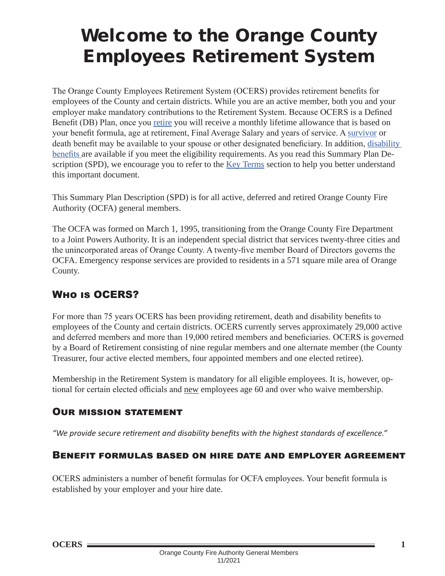## Welcome to the Orange County Employees Retirement System

The Orange County Employees Retirement System (OCERS) provides retirement benefits for employees of the County and certain districts. While you are an active member, both you and your employer make mandatory contributions to the Retirement System. Because OCERS is a Defined Benefit (DB) Plan, once you [retire](#page-20-0) you will receive a monthly lifetime allowance that is based on your benefit formula, age at retirement, Final Average Salary and years of service. A [survivor](#page-30-0) or death benefit may be available to your spouse or other designated beneficiary. In addition, disability [benefits](#page-27-0) are available if you meet the eligibility requirements. As you read this Summary Plan Description (SPD), we encourage you to refer to the [Key Terms](#page-40-0) section to help you better understand this important document.

This Summary Plan Description (SPD) is for all active, deferred and retired Orange County Fire Authority (OCFA) general members.

The OCFA was formed on March 1, 1995, transitioning from the Orange County Fire Department to a Joint Powers Authority. It is an independent special district that services twenty-three cities and the unincorporated areas of Orange County. A twenty-five member Board of Directors governs the OCFA. Emergency response services are provided to residents in a 571 square mile area of Orange County.

## Who is OCERS?

For more than 75 years OCERS has been providing retirement, death and disability benefits to employees of the County and certain districts. OCERS currently serves approximately 29,000 active and deferred members and more than 19,000 retired members and beneficiaries. OCERS is governed by a Board of Retirement consisting of nine regular members and one alternate member (the County Treasurer, four active elected members, four appointed members and one elected retiree).

Membership in the Retirement System is mandatory for all eligible employees. It is, however, optional for certain elected officials and new employees age 60 and over who waive membership.

#### Our mission statement

*"We provide secure retirement and disability benefits with the highest standards of excellence."*

#### Benefit formulas based on hire date and employer agreement

OCERS administers a number of benefit formulas for OCFA employees. Your benefit formula is established by your employer and your hire date.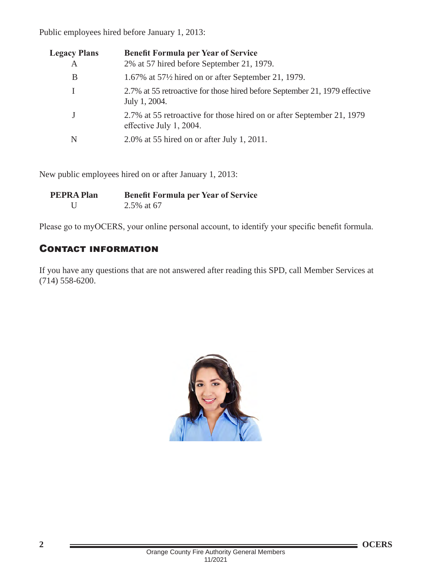Public employees hired before January 1, 2013:

| <b>Legacy Plans</b> | <b>Benefit Formula per Year of Service</b>                                                       |
|---------------------|--------------------------------------------------------------------------------------------------|
| A                   | 2% at 57 hired before September 21, 1979.                                                        |
| B                   | 1.67% at $57\frac{1}{2}$ hired on or after September 21, 1979.                                   |
| I.                  | 2.7% at 55 retroactive for those hired before September 21, 1979 effective<br>July 1, 2004.      |
|                     | 2.7% at 55 retroactive for those hired on or after September 21, 1979<br>effective July 1, 2004. |
| N                   | $2.0\%$ at 55 hired on or after July 1, 2011.                                                    |

New public employees hired on or after January 1, 2013:

| <b>PEPRA Plan</b> | <b>Benefit Formula per Year of Service</b> |
|-------------------|--------------------------------------------|
|                   | 2.5% at 67                                 |

Please go to myOCERS, your online personal account, to identify your specific benefit formula.

#### Contact information

If you have any questions that are not answered after reading this SPD, call Member Services at (714) 558-6200.

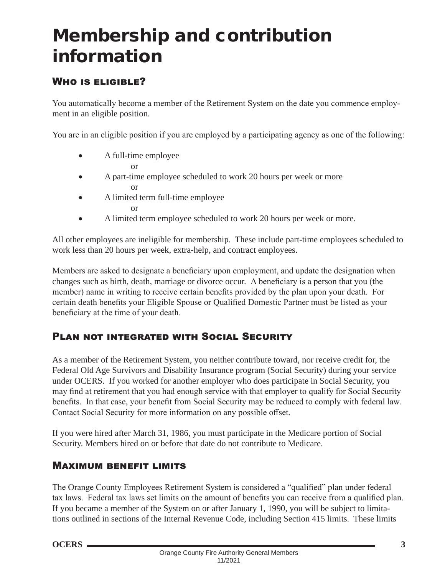## Membership and contribution information

## WHO IS ELIGIBLE?

You automatically become a member of the Retirement System on the date you commence employment in an eligible position.

You are in an eligible position if you are employed by a participating agency as one of the following:

- A full-time employee
	- or
- A part-time employee scheduled to work 20 hours per week or more or
- A limited term full-time employee
	- or
- A limited term employee scheduled to work 20 hours per week or more.

All other employees are ineligible for membership. These include part-time employees scheduled to work less than 20 hours per week, extra-help, and contract employees.

Members are asked to designate a beneficiary upon employment, and update the designation when changes such as birth, death, marriage or divorce occur. A beneficiary is a person that you (the member) name in writing to receive certain benefits provided by the plan upon your death. For certain death benefits your Eligible Spouse or Qualified Domestic Partner must be listed as your beneficiary at the time of your death.

## Plan not integrated with Social Security

As a member of the Retirement System, you neither contribute toward, nor receive credit for, the Federal Old Age Survivors and Disability Insurance program (Social Security) during your service under OCERS. If you worked for another employer who does participate in Social Security, you may find at retirement that you had enough service with that employer to qualify for Social Security benefits. In that case, your benefit from Social Security may be reduced to comply with federal law. Contact Social Security for more information on any possible offset.

If you were hired after March 31, 1986, you must participate in the Medicare portion of Social Security. Members hired on or before that date do not contribute to Medicare.

## Maximum benefit limits

The Orange County Employees Retirement System is considered a "qualified" plan under federal tax laws. Federal tax laws set limits on the amount of benefits you can receive from a qualified plan. If you became a member of the System on or after January 1, 1990, you will be subject to limitations outlined in sections of the Internal Revenue Code, including Section 415 limits. These limits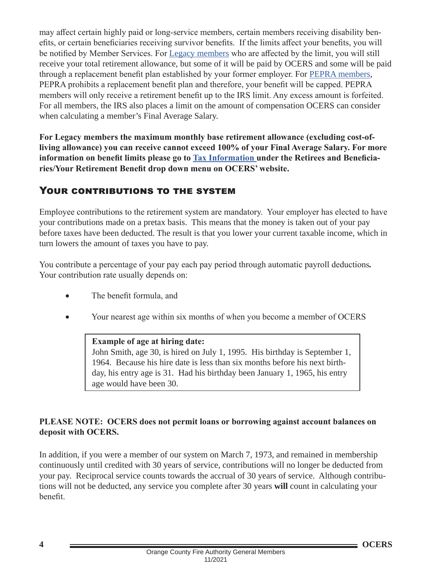may affect certain highly paid or long-service members, certain members receiving disability benefits, or certain beneficiaries receiving survivor benefits. If the limits affect your benefits, you will be notified by Member Services. For [Legacy members](#page-41-0) who are affected by the limit, you will still receive your total retirement allowance, but some of it will be paid by OCERS and some will be paid through a replacement benefit plan established by your former employer. For [PEPRA members,](#page-41-0) PEPRA prohibits a replacement benefit plan and therefore, your benefit will be capped. PEPRA members will only receive a retirement benefit up to the IRS limit. Any excess amount is forfeited. For all members, the IRS also places a limit on the amount of compensation OCERS can consider when calculating a member's Final Average Salary.

**For Legacy members the maximum monthly base retirement allowance (excluding cost-ofliving allowance) you can receive cannot exceed 100% of your Final Average Salary. For more information on benefit limits please go to [Tax Information](https://www.ocers.org/tax-information) under the Retirees and Beneficiaries/Your Retirement Benefit drop down menu on OCERS' website.**

### YOUR CONTRIBUTIONS TO THE SYSTEM

Employee contributions to the retirement system are mandatory. Your employer has elected to have your contributions made on a pretax basis. This means that the money is taken out of your pay before taxes have been deducted. The result is that you lower your current taxable income, which in turn lowers the amount of taxes you have to pay.

You contribute a percentage of your pay each pay period through automatic payroll deductions*.* Your contribution rate usually depends on:

- The benefit formula, and
- Your nearest age within six months of when you become a member of OCERS

#### **Example of age at hiring date:**

John Smith, age 30, is hired on July 1, 1995. His birthday is September 1, 1964. Because his hire date is less than six months before his next birthday, his entry age is 31. Had his birthday been January 1, 1965, his entry age would have been 30.

#### **PLEASE NOTE: OCERS does not permit loans or borrowing against account balances on deposit with OCERS.**

In addition, if you were a member of our system on March 7, 1973, and remained in membership continuously until credited with 30 years of service, contributions will no longer be deducted from your pay. Reciprocal service counts towards the accrual of 30 years of service. Although contributions will not be deducted, any service you complete after 30 years **will** count in calculating your benefit.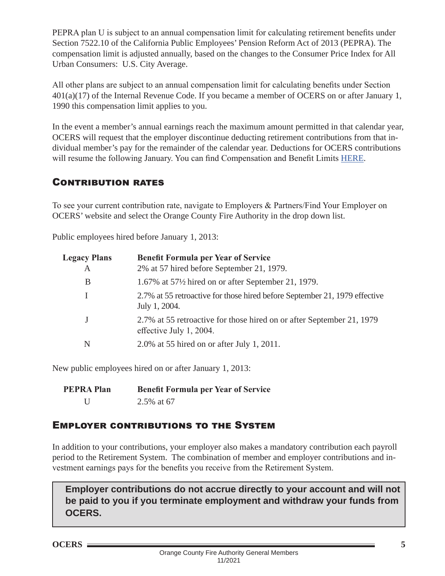PEPRA plan U is subject to an annual compensation limit for calculating retirement benefits under Section 7522.10 of the California Public Employees' Pension Reform Act of 2013 (PEPRA). The compensation limit is adjusted annually, based on the changes to the Consumer Price Index for All Urban Consumers: U.S. City Average.

All other plans are subject to an annual compensation limit for calculating benefits under Section 401(a)(17) of the Internal Revenue Code. If you became a member of OCERS on or after January 1, 1990 this compensation limit applies to you.

In the event a member's annual earnings reach the maximum amount permitted in that calendar year, OCERS will request that the employer discontinue deducting retirement contributions from that individual member's pay for the remainder of the calendar year. Deductions for OCERS contributions will resume the following January. You can find Compensation and Benefit Limits [HERE.](https://www.ocers.org/post/compensation-and-benefit-limits)

#### Contribution rates

To see your current contribution rate, navigate to Employers & Partners/Find Your Employer on OCERS' website and select the Orange County Fire Authority in the drop down list.

Public employees hired before January 1, 2013:

| <b>Legacy Plans</b><br>Α | <b>Benefit Formula per Year of Service</b><br>2% at 57 hired before September 21, 1979.          |
|--------------------------|--------------------------------------------------------------------------------------------------|
| B                        | 1.67% at $57\frac{1}{2}$ hired on or after September 21, 1979.                                   |
| I.                       | 2.7% at 55 retroactive for those hired before September 21, 1979 effective<br>July 1, 2004.      |
|                          | 2.7% at 55 retroactive for those hired on or after September 21, 1979<br>effective July 1, 2004. |
| N                        | $2.0\%$ at 55 hired on or after July 1, 2011.                                                    |

New public employees hired on or after January 1, 2013:

| <b>PEPRA Plan</b> | <b>Benefit Formula per Year of Service</b> |
|-------------------|--------------------------------------------|
|                   | 2.5% at 67                                 |

#### Employer contributions to the System

In addition to your contributions, your employer also makes a mandatory contribution each payroll period to the Retirement System. The combination of member and employer contributions and investment earnings pays for the benefits you receive from the Retirement System.

#### **Employer contributions do not accrue directly to your account and will not be paid to you if you terminate employment and withdraw your funds from OCERS.**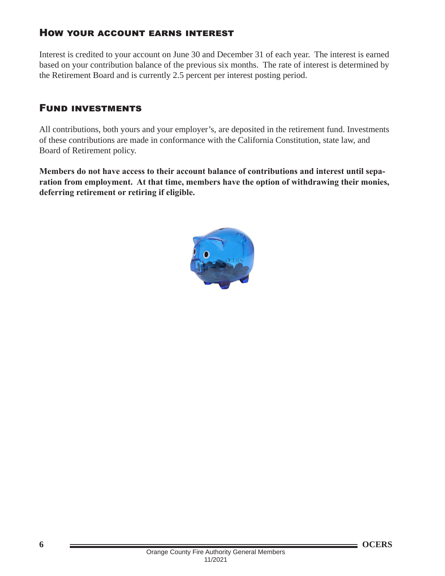#### How your account earns interest

Interest is credited to your account on June 30 and December 31 of each year. The interest is earned based on your contribution balance of the previous six months. The rate of interest is determined by the Retirement Board and is currently 2.5 percent per interest posting period.

#### Fund investments

All contributions, both yours and your employer's, are deposited in the retirement fund. Investments of these contributions are made in conformance with the California Constitution, state law, and Board of Retirement policy.

**Members do not have access to their account balance of contributions and interest until separation from employment. At that time, members have the option of withdrawing their monies, deferring retirement or retiring if eligible.** 

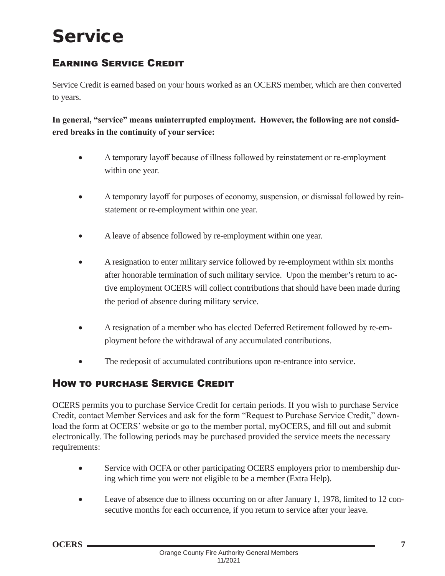## Service

## Earning Service Credit

Service Credit is earned based on your hours worked as an OCERS member, which are then converted to years.

**In general, "service" means uninterrupted employment. However, the following are not considered breaks in the continuity of your service:**

- A temporary layoff because of illness followed by reinstatement or re-employment within one year.
- A temporary layoff for purposes of economy, suspension, or dismissal followed by reinstatement or re-employment within one year.
- A leave of absence followed by re-employment within one year.
- A resignation to enter military service followed by re-employment within six months after honorable termination of such military service. Upon the member's return to active employment OCERS will collect contributions that should have been made during the period of absence during military service.
- A resignation of a member who has elected Deferred Retirement followed by re-employment before the withdrawal of any accumulated contributions.
- The redeposit of accumulated contributions upon re-entrance into service.

#### How to purchase Service Credit

OCERS permits you to purchase Service Credit for certain periods. If you wish to purchase Service Credit, contact Member Services and ask for the form "Request to Purchase Service Credit," download the form at OCERS' website or go to the member portal, myOCERS, and fill out and submit electronically. The following periods may be purchased provided the service meets the necessary requirements:

- Service with OCFA or other participating OCERS employers prior to membership during which time you were not eligible to be a member (Extra Help).
- Leave of absence due to illness occurring on or after January 1, 1978, limited to 12 consecutive months for each occurrence, if you return to service after your leave.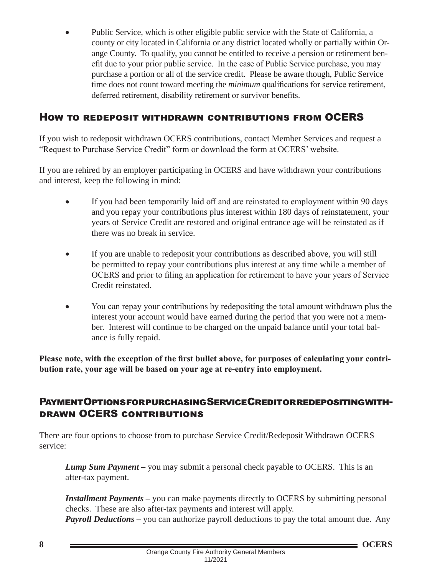Public Service, which is other eligible public service with the State of California, a county or city located in California or any district located wholly or partially within Orange County. To qualify, you cannot be entitled to receive a pension or retirement benefit due to your prior public service. In the case of Public Service purchase, you may purchase a portion or all of the service credit. Please be aware though, Public Service time does not count toward meeting the *minimum* qualifications for service retirement, deferred retirement, disability retirement or survivor benefits.

#### How to redeposit withdrawn contributions from OCERS

If you wish to redeposit withdrawn OCERS contributions, contact Member Services and request a "Request to Purchase Service Credit" form or download the form at OCERS' website.

If you are rehired by an employer participating in OCERS and have withdrawn your contributions and interest, keep the following in mind:

- If you had been temporarily laid off and are reinstated to employment within 90 days and you repay your contributions plus interest within 180 days of reinstatement, your years of Service Credit are restored and original entrance age will be reinstated as if there was no break in service.
- If you are unable to redeposit your contributions as described above, you will still be permitted to repay your contributions plus interest at any time while a member of OCERS and prior to filing an application for retirement to have your years of Service Credit reinstated.
- You can repay your contributions by redepositing the total amount withdrawn plus the interest your account would have earned during the period that you were not a member. Interest will continue to be charged on the unpaid balance until your total balance is fully repaid.

**Please note, with the exception of the first bullet above, for purposes of calculating your contribution rate, your age will be based on your age at re-entry into employment.**

#### Payment Options for purchasing Service Credit or redepositing withdrawn OCERS contributions

There are four options to choose from to purchase Service Credit/Redeposit Withdrawn OCERS service:

*Lump Sum Payment – you may submit a personal check payable to OCERS. This is an* after-tax payment.

**Installment Payments** – you can make payments directly to OCERS by submitting personal checks. These are also after-tax payments and interest will apply.

*Payroll Deductions* – you can authorize payroll deductions to pay the total amount due. Any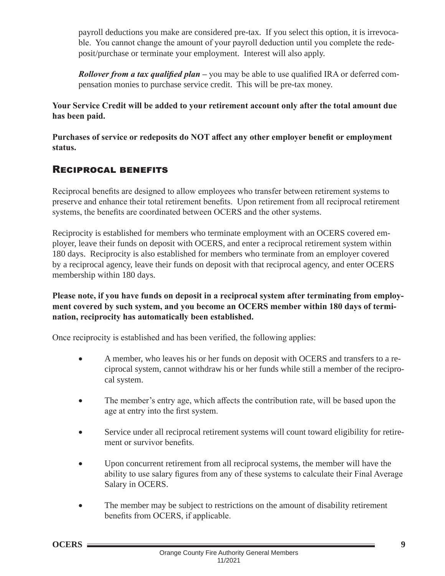<span id="page-11-0"></span>payroll deductions you make are considered pre-tax. If you select this option, it is irrevocable. You cannot change the amount of your payroll deduction until you complete the redeposit/purchase or terminate your employment. Interest will also apply.

*Rollover from a tax qualified plan –* you may be able to use qualified IRA or deferred compensation monies to purchase service credit. This will be pre-tax money.

**Your Service Credit will be added to your retirement account only after the total amount due has been paid.** 

Purchases of service or redeposits do NOT affect any other employer benefit or employment **status.**

#### Reciprocal benefits

Reciprocal benefits are designed to allow employees who transfer between retirement systems to preserve and enhance their total retirement benefits. Upon retirement from all reciprocal retirement systems, the benefits are coordinated between OCERS and the other systems.

Reciprocity is established for members who terminate employment with an OCERS covered employer, leave their funds on deposit with OCERS, and enter a reciprocal retirement system within 180 days. Reciprocity is also established for members who terminate from an employer covered by a reciprocal agency, leave their funds on deposit with that reciprocal agency, and enter OCERS membership within 180 days.

#### **Please note, if you have funds on deposit in a reciprocal system after terminating from employment covered by such system, and you become an OCERS member within 180 days of termination, reciprocity has automatically been established.**

Once reciprocity is established and has been verified, the following applies:

- A member, who leaves his or her funds on deposit with OCERS and transfers to a reciprocal system, cannot withdraw his or her funds while still a member of the reciprocal system.
- The member's entry age, which affects the contribution rate, will be based upon the age at entry into the first system.
- Service under all reciprocal retirement systems will count toward eligibility for retirement or survivor benefits.
- Upon concurrent retirement from all reciprocal systems, the member will have the ability to use salary figures from any of these systems to calculate their Final Average Salary in OCERS.
- The member may be subject to restrictions on the amount of disability retirement benefits from OCERS, if applicable.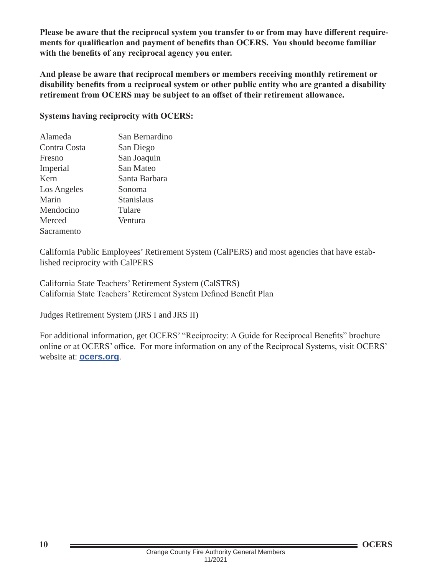**Please be aware that the reciprocal system you transfer to or from may have different requirements for qualification and payment of benefits than OCERS. You should become familiar with the benefits of any reciprocal agency you enter.**

**And please be aware that reciprocal members or members receiving monthly retirement or disability benefits from a reciprocal system or other public entity who are granted a disability retirement from OCERS may be subject to an offset of their retirement allowance.**

**Systems having reciprocity with OCERS:**

| Alameda      | San Bernardino    |
|--------------|-------------------|
| Contra Costa | San Diego         |
| Fresno       | San Joaquin       |
| Imperial     | San Mateo         |
| Kern         | Santa Barbara     |
| Los Angeles  | Sonoma            |
| Marin        | <b>Stanislaus</b> |
| Mendocino    | Tulare            |
| Merced       | Ventura           |
| Sacramento   |                   |
|              |                   |

California Public Employees' Retirement System (CalPERS) and most agencies that have established reciprocity with CalPERS

California State Teachers' Retirement System (CalSTRS) California State Teachers' Retirement System Defined Benefit Plan

Judges Retirement System (JRS I and JRS II)

For additional information, get OCERS' "Reciprocity: A Guide for Reciprocal Benefits" brochure online or at OCERS' office. For more information on any of the Reciprocal Systems, visit OCERS' website at: **[ocers.org](https://www.ocers.org)**.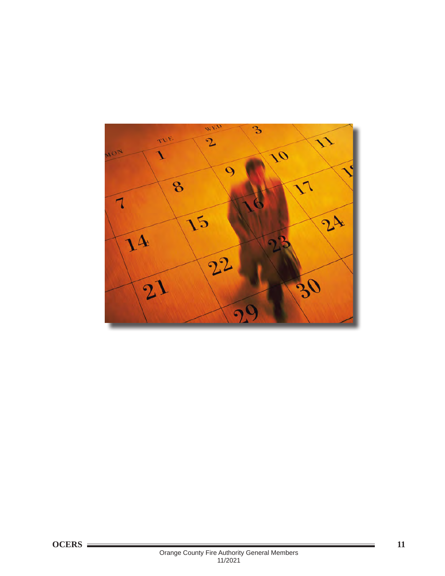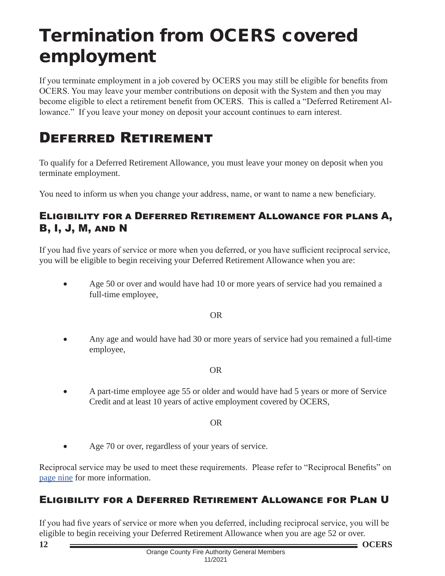## Termination from OCERS covered employment

If you terminate employment in a job covered by OCERS you may still be eligible for benefits from OCERS. You may leave your member contributions on deposit with the System and then you may become eligible to elect a retirement benefit from OCERS. This is called a "Deferred Retirement Allowance." If you leave your money on deposit your account continues to earn interest.

## Deferred Retirement

To qualify for a Deferred Retirement Allowance, you must leave your money on deposit when you terminate employment.

You need to inform us when you change your address, name, or want to name a new beneficiary.

## Eligibility for a Deferred Retirement Allowance for plans A, B, I, J, M, and N

If you had five years of service or more when you deferred, or you have sufficient reciprocal service, you will be eligible to begin receiving your Deferred Retirement Allowance when you are:

• Age 50 or over and would have had 10 or more years of service had you remained a full-time employee,

OR

• Any age and would have had 30 or more years of service had you remained a full-time employee,

#### OR

• A part-time employee age 55 or older and would have had 5 years or more of Service Credit and at least 10 years of active employment covered by OCERS,

#### OR

Age 70 or over, regardless of your years of service.

Reciprocal service may be used to meet these requirements. Please refer to "Reciprocal Benefits" on [page nine](#page-11-0) for more information.

## Eligibility for a Deferred Retirement Allowance for Plan U

If you had five years of service or more when you deferred, including reciprocal service, you will be eligible to begin receiving your Deferred Retirement Allowance when you are age 52 or over.

**12 OCERS**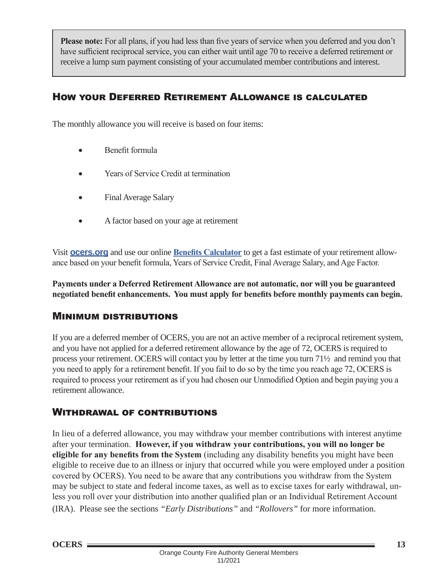**Please note:** For all plans, if you had less than five years of service when you deferred and you don't have sufficient reciprocal service, you can either wait until age 70 to receive a deferred retirement or receive a lump sum payment consisting of your accumulated member contributions and interest.

## How your Deferred Retirement Allowance is calculated

The monthly allowance you will receive is based on four items:

- Benefit formula
- Years of Service Credit at termination
- Final Average Salary
- A factor based on your age at retirement

Visit **[ocers.org](https://www.ocers.org)** and use our online **[Benefits Calculator](https://www.ocers.org/benefits-calculator)** to get a fast estimate of your retirement allowance based on your benefit formula, Years of Service Credit, Final Average Salary, and Age Factor.

**Payments under a Deferred Retirement Allowance are not automatic, nor will you be guaranteed negotiated benefit enhancements. You must apply for benefits before monthly payments can begin.**

#### Minimum distributions

If you are a deferred member of OCERS, you are not an active member of a reciprocal retirement system, and you have not applied for a deferred retirement allowance by the age of 72, OCERS is required to process your retirement. OCERS will contact you by letter at the time you turn 71½ and remind you that you need to apply for a retirement benefit. If you fail to do so by the time you reach age 72, OCERS is required to process your retirement as if you had chosen our Unmodified Option and begin paying you a retirement allowance.

#### Withdrawal of contributions

In lieu of a deferred allowance, you may withdraw your member contributions with interest anytime after your termination. **However, if you withdraw your contributions, you will no longer be eligible for any benefits from the System** (including any disability benefits you might have been eligible to receive due to an illness or injury that occurred while you were employed under a position covered by OCERS). You need to be aware that any contributions you withdraw from the System may be subject to state and federal income taxes, as well as to excise taxes for early withdrawal, unless you roll over your distribution into another qualified plan or an Individual Retirement Account (IRA). Please see the sections *"Early Distributions"* and *"Rollovers"* for more information.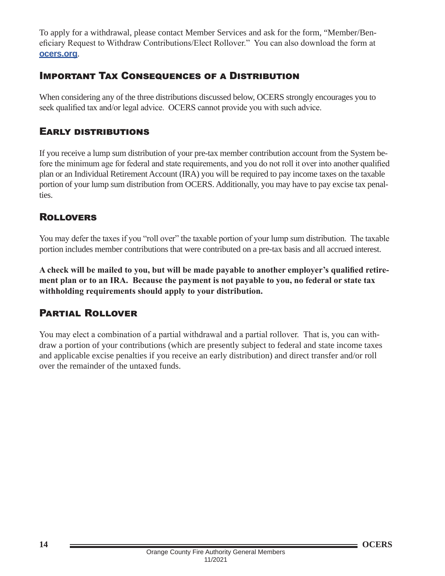To apply for a withdrawal, please contact Member Services and ask for the form, "Member/Beneficiary Request to Withdraw Contributions/Elect Rollover." You can also download the form at **[ocers.org](https://www.ocers.org)**.

### Important Tax Consequences of a Distribution

When considering any of the three distributions discussed below, OCERS strongly encourages you to seek qualified tax and/or legal advice. OCERS cannot provide you with such advice.

### Early distributions

If you receive a lump sum distribution of your pre-tax member contribution account from the System before the minimum age for federal and state requirements, and you do not roll it over into another qualified plan or an Individual Retirement Account (IRA) you will be required to pay income taxes on the taxable portion of your lump sum distribution from OCERS. Additionally, you may have to pay excise tax penalties.

### **ROLLOVERS**

You may defer the taxes if you "roll over" the taxable portion of your lump sum distribution. The taxable portion includes member contributions that were contributed on a pre-tax basis and all accrued interest.

**A check will be mailed to you, but will be made payable to another employer's qualified retirement plan or to an IRA. Because the payment is not payable to you, no federal or state tax withholding requirements should apply to your distribution.**

## Partial Rollover

You may elect a combination of a partial withdrawal and a partial rollover. That is, you can withdraw a portion of your contributions (which are presently subject to federal and state income taxes and applicable excise penalties if you receive an early distribution) and direct transfer and/or roll over the remainder of the untaxed funds.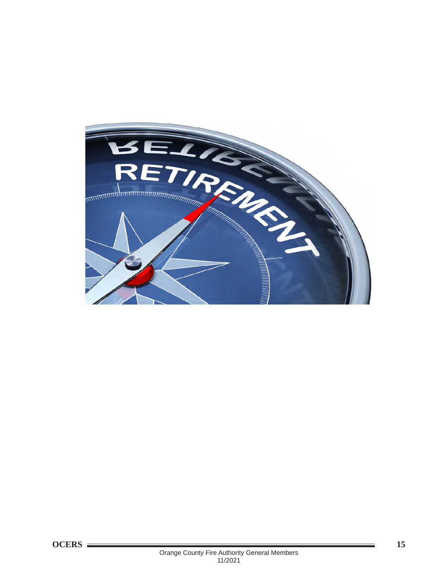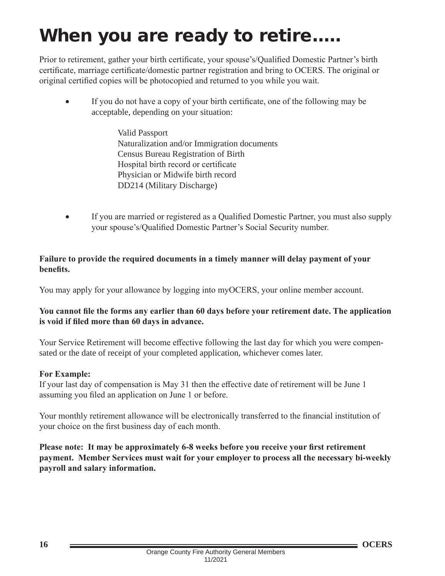## When you are ready to retire.....

Prior to retirement, gather your birth certificate, your spouse's/Qualified Domestic Partner's birth certificate, marriage certificate/domestic partner registration and bring to OCERS. The original or original certified copies will be photocopied and returned to you while you wait.

• If you do not have a copy of your birth certificate, one of the following may be acceptable, depending on your situation:

> Valid Passport Naturalization and/or Immigration documents Census Bureau Registration of Birth Hospital birth record or certificate Physician or Midwife birth record DD214 (Military Discharge)

• If you are married or registered as a Qualified Domestic Partner, you must also supply your spouse's/Qualified Domestic Partner's Social Security number.

#### **Failure to provide the required documents in a timely manner will delay payment of your benefits.**

You may apply for your allowance by logging into myOCERS, your online member account.

#### **You cannot file the forms any earlier than 60 days before your retirement date. The application is void if filed more than 60 days in advance.**

Your Service Retirement will become effective following the last day for which you were compensated or the date of receipt of your completed application, whichever comes later.

#### **For Example:**

If your last day of compensation is May 31 then the effective date of retirement will be June 1 assuming you filed an application on June 1 or before.

Your monthly retirement allowance will be electronically transferred to the financial institution of your choice on the first business day of each month.

**Please note: It may be approximately 6-8 weeks before you receive your first retirement payment. Member Services must wait for your employer to process all the necessary bi-weekly payroll and salary information.**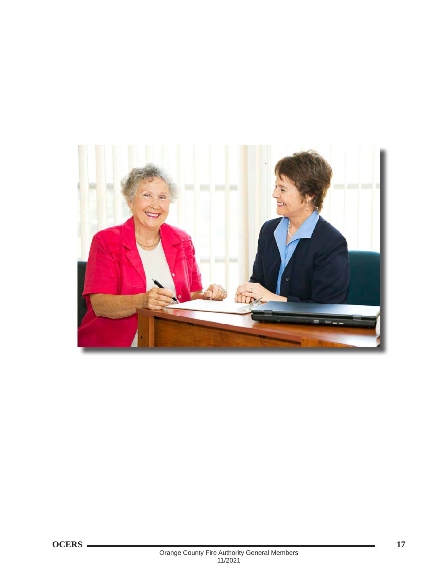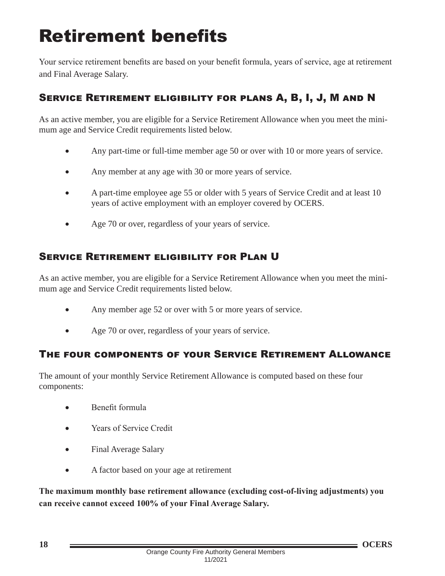## <span id="page-20-0"></span>Retirement benefits

Your service retirement benefits are based on your benefit formula, years of service, age at retirement and Final Average Salary.

## Service Retirement eligibility for plans A, B, I, J, M and N

As an active member, you are eligible for a Service Retirement Allowance when you meet the minimum age and Service Credit requirements listed below.

- Any part-time or full-time member age 50 or over with 10 or more years of service.
- Any member at any age with 30 or more years of service.
- A part-time employee age 55 or older with 5 years of Service Credit and at least 10 years of active employment with an employer covered by OCERS.
- Age 70 or over, regardless of your years of service.

#### Service Retirement eligibility for Plan U

As an active member, you are eligible for a Service Retirement Allowance when you meet the minimum age and Service Credit requirements listed below.

- Any member age 52 or over with 5 or more years of service.
- Age 70 or over, regardless of your years of service.

#### The four components of your Service Retirement Allowance

The amount of your monthly Service Retirement Allowance is computed based on these four components:

- Benefit formula
- Years of Service Credit
- Final Average Salary
- A factor based on your age at retirement

**The maximum monthly base retirement allowance (excluding cost-of-living adjustments) you can receive cannot exceed 100% of your Final Average Salary.**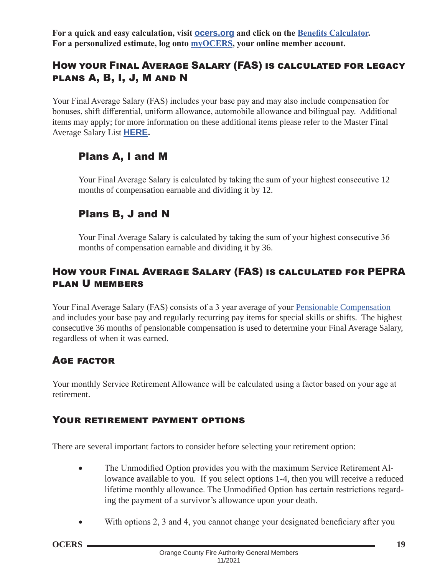**For a quick and easy calculation, visit [ocers.org](https://www.ocers.org) and click on the [Benefits Calculator.](https://www.ocers.org/benefits-calculator) For a personalized estimate, log onto [myOCERS](https://mss.ocers.org/), your online member account.**

## How your Final Average Salary (FAS) is calculated for legacy plans A, B, I, J, M and N

Your Final Average Salary (FAS) includes your base pay and may also include compensation for bonuses, shift differential, uniform allowance, automobile allowance and bilingual pay. Additional items may apply; for more information on these additional items please refer to the Master Final Average Salary List **HERE.**

## Plans A, I and M

Your Final Average Salary is calculated by taking the sum of your highest consecutive 12 months of compensation earnable and dividing it by 12.

## Plans B, J and N

Your Final Average Salary is calculated by taking the sum of your highest consecutive 36 months of compensation earnable and dividing it by 36.

## How your Final Average Salary (FAS) is calculated for PEPRA plan U members

Your Final Average Salary (FAS) consists of a 3 year average of your [Pensionable Compensation](#page-41-0) and includes your base pay and regularly recurring pay items for special skills or shifts. The highest consecutive 36 months of pensionable compensation is used to determine your Final Average Salary, regardless of when it was earned.

## Age factor

Your monthly Service Retirement Allowance will be calculated using a factor based on your age at retirement.

#### YOUR RETIREMENT PAYMENT OPTIONS

There are several important factors to consider before selecting your retirement option:

- The Unmodified Option provides you with the maximum Service Retirement Allowance available to you. If you select options 1-4, then you will receive a reduced lifetime monthly allowance. The Unmodified Option has certain restrictions regarding the payment of a survivor's allowance upon your death.
- With options 2, 3 and 4, you cannot change your designated beneficiary after you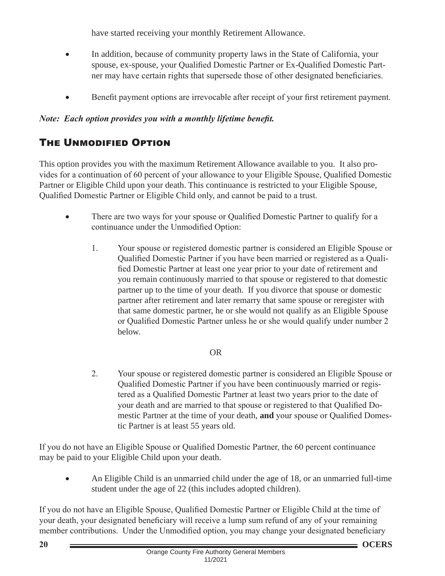have started receiving your monthly Retirement Allowance.

- <span id="page-22-0"></span>• In addition, because of community property laws in the State of California, your spouse, ex-spouse, your Qualified Domestic Partner or Ex-Qualified Domestic Partner may have certain rights that supersede those of other designated beneficiaries.
- Benefit payment options are irrevocable after receipt of your first retirement payment.

#### *Note: Each option provides you with a monthly lifetime benefit.*

## The Unmodified Option

This option provides you with the maximum Retirement Allowance available to you. It also provides for a continuation of 60 percent of your allowance to your Eligible Spouse, Qualified Domestic Partner or Eligible Child upon your death. This continuance is restricted to your Eligible Spouse, Qualified Domestic Partner or Eligible Child only, and cannot be paid to a trust.

- There are two ways for your spouse or Qualified Domestic Partner to qualify for a continuance under the Unmodified Option:
	- 1. Your spouse or registered domestic partner is considered an Eligible Spouse or Qualified Domestic Partner if you have been married or registered as a Qualified Domestic Partner at least one year prior to your date of retirement and you remain continuously married to that spouse or registered to that domestic partner up to the time of your death. If you divorce that spouse or domestic partner after retirement and later remarry that same spouse or reregister with that same domestic partner, he or she would not qualify as an Eligible Spouse or Qualified Domestic Partner unless he or she would qualify under number 2 below.

#### OR

2. Your spouse or registered domestic partner is considered an Eligible Spouse or Qualified Domestic Partner if you have been continuously married or registered as a Qualified Domestic Partner at least two years prior to the date of your death and are married to that spouse or registered to that Qualified Domestic Partner at the time of your death, **and** your spouse or Qualified Domestic Partner is at least 55 years old.

If you do not have an Eligible Spouse or Qualified Domestic Partner, the 60 percent continuance may be paid to your Eligible Child upon your death.

• An Eligible Child is an unmarried child under the age of 18, or an unmarried full-time student under the age of 22 (this includes adopted children).

If you do not have an Eligible Spouse, Qualified Domestic Partner or Eligible Child at the time of your death, your designated beneficiary will receive a lump sum refund of any of your remaining member contributions. Under the Unmodified option, you may change your designated beneficiary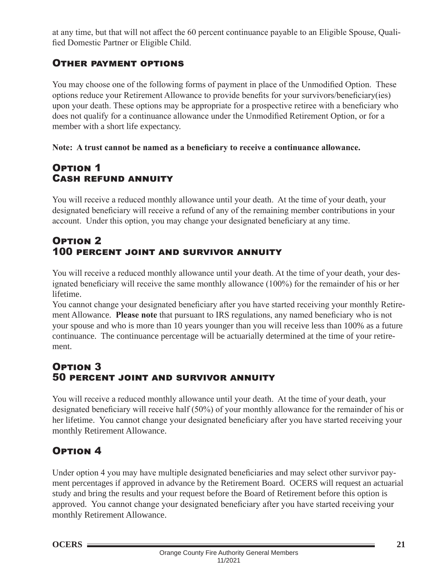<span id="page-23-0"></span>at any time, but that will not affect the 60 percent continuance payable to an Eligible Spouse, Qualified Domestic Partner or Eligible Child.

## Other payment options

You may choose one of the following forms of payment in place of the Unmodified Option. These options reduce your Retirement Allowance to provide benefits for your survivors/beneficiary(ies) upon your death. These options may be appropriate for a prospective retiree with a beneficiary who does not qualify for a continuance allowance under the Unmodified Retirement Option, or for a member with a short life expectancy.

#### **Note: A trust cannot be named as a beneficiary to receive a continuance allowance.**

## Option 1 Cash refund annuity

You will receive a reduced monthly allowance until your death. At the time of your death, your designated beneficiary will receive a refund of any of the remaining member contributions in your account. Under this option, you may change your designated beneficiary at any time.

## **OPTION 2** 100 percent joint and survivor annuity

You will receive a reduced monthly allowance until your death. At the time of your death, your designated beneficiary will receive the same monthly allowance (100%) for the remainder of his or her lifetime.

You cannot change your designated beneficiary after you have started receiving your monthly Retirement Allowance. **Please note** that pursuant to IRS regulations, any named beneficiary who is not your spouse and who is more than 10 years younger than you will receive less than 100% as a future continuance. The continuance percentage will be actuarially determined at the time of your retirement.

### **OPTION 3** 50 percent joint and survivor annuity

You will receive a reduced monthly allowance until your death. At the time of your death, your designated beneficiary will receive half (50%) of your monthly allowance for the remainder of his or her lifetime. You cannot change your designated beneficiary after you have started receiving your monthly Retirement Allowance.

## **OPTION 4**

Under option 4 you may have multiple designated beneficiaries and may select other survivor payment percentages if approved in advance by the Retirement Board. OCERS will request an actuarial study and bring the results and your request before the Board of Retirement before this option is approved. You cannot change your designated beneficiary after you have started receiving your monthly Retirement Allowance.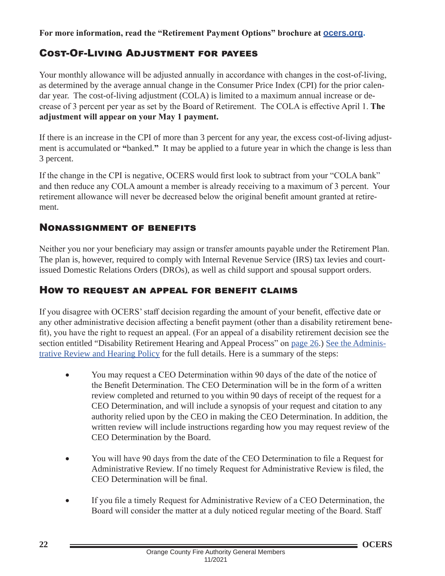#### **For more information, read the "Retirement Payment Options" brochure at [ocers.org.](https://www.ocers.org)**

## Cost-Of-Living Adjustment for payees

Your monthly allowance will be adjusted annually in accordance with changes in the cost-of-living, as determined by the average annual change in the Consumer Price Index (CPI) for the prior calendar year. The cost-of-living adjustment (COLA) is limited to a maximum annual increase or decrease of 3 percent per year as set by the Board of Retirement. The COLA is effective April 1. **The adjustment will appear on your May 1 payment.**

If there is an increase in the CPI of more than 3 percent for any year, the excess cost-of-living adjustment is accumulated or **"**banked.**"** It may be applied to a future year in which the change is less than 3 percent.

If the change in the CPI is negative, OCERS would first look to subtract from your "COLA bank" and then reduce any COLA amount a member is already receiving to a maximum of 3 percent. Your retirement allowance will never be decreased below the original benefit amount granted at retirement.

#### Nonassignment of benefits

Neither you nor your beneficiary may assign or transfer amounts payable under the Retirement Plan. The plan is, however, required to comply with Internal Revenue Service (IRS) tax levies and courtissued Domestic Relations Orders (DROs), as well as child support and spousal support orders.

#### How to request an appeal for benefit claims

If you disagree with OCERS' staff decision regarding the amount of your benefit, effective date or any other administrative decision affecting a benefit payment (other than a disability retirement benefit), you have the right to request an appeal. (For an appeal of a disability retirement decision see the section entitled "Disability Retirement Hearing and Appeal Process" on [page 26](#page-28-0).) [See the Adminis](https://www.ocers.org/sites/main/files/file-attachments/administrative_review_and_hearing_policy_for_cases_filed_on_or_after_august_18_2020.pdf?1598398697)[trative Review and Hearing Policy](https://www.ocers.org/sites/main/files/file-attachments/administrative_review_and_hearing_policy_for_cases_filed_on_or_after_august_18_2020.pdf?1598398697) for the full details. Here is a summary of the steps:

- You may request a CEO Determination within 90 days of the date of the notice of the Benefit Determination. The CEO Determination will be in the form of a written review completed and returned to you within 90 days of receipt of the request for a CEO Determination, and will include a synopsis of your request and citation to any authority relied upon by the CEO in making the CEO Determination. In addition, the written review will include instructions regarding how you may request review of the CEO Determination by the Board.
- You will have 90 days from the date of the CEO Determination to file a Request for Administrative Review. If no timely Request for Administrative Review is filed, the CEO Determination will be final.
- If you file a timely Request for Administrative Review of a CEO Determination, the Board will consider the matter at a duly noticed regular meeting of the Board. Staff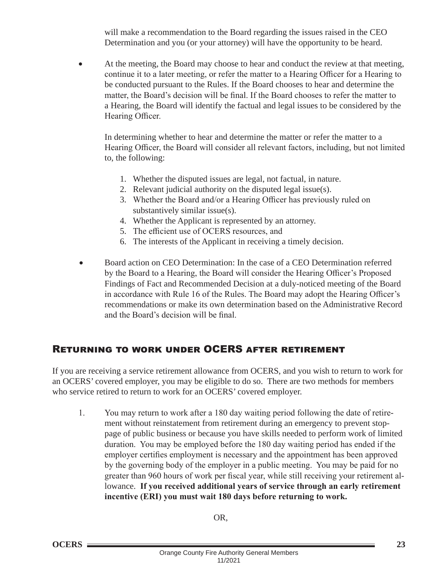will make a recommendation to the Board regarding the issues raised in the CEO Determination and you (or your attorney) will have the opportunity to be heard.

At the meeting, the Board may choose to hear and conduct the review at that meeting, continue it to a later meeting, or refer the matter to a Hearing Officer for a Hearing to be conducted pursuant to the Rules. If the Board chooses to hear and determine the matter, the Board's decision will be final. If the Board chooses to refer the matter to a Hearing, the Board will identify the factual and legal issues to be considered by the Hearing Officer.

In determining whether to hear and determine the matter or refer the matter to a Hearing Officer, the Board will consider all relevant factors, including, but not limited to, the following:

- 1. Whether the disputed issues are legal, not factual, in nature.
- 2. Relevant judicial authority on the disputed legal issue(s).
- 3. Whether the Board and/or a Hearing Officer has previously ruled on substantively similar issue(s).
- 4. Whether the Applicant is represented by an attorney.
- 5. The efficient use of OCERS resources, and
- 6. The interests of the Applicant in receiving a timely decision.
- Board action on CEO Determination: In the case of a CEO Determination referred by the Board to a Hearing, the Board will consider the Hearing Officer's Proposed Findings of Fact and Recommended Decision at a duly-noticed meeting of the Board in accordance with Rule 16 of the Rules. The Board may adopt the Hearing Officer's recommendations or make its own determination based on the Administrative Record and the Board's decision will be final.

#### Returning to work under OCERS after retirement

If you are receiving a service retirement allowance from OCERS, and you wish to return to work for an OCERS' covered employer, you may be eligible to do so. There are two methods for members who service retired to return to work for an OCERS' covered employer.

1. You may return to work after a 180 day waiting period following the date of retirement without reinstatement from retirement during an emergency to prevent stoppage of public business or because you have skills needed to perform work of limited duration. You may be employed before the 180 day waiting period has ended if the employer certifies employment is necessary and the appointment has been approved by the governing body of the employer in a public meeting. You may be paid for no greater than 960 hours of work per fiscal year, while still receiving your retirement allowance. **If you received additional years of service through an early retirement incentive (ERI) you must wait 180 days before returning to work.**

OR,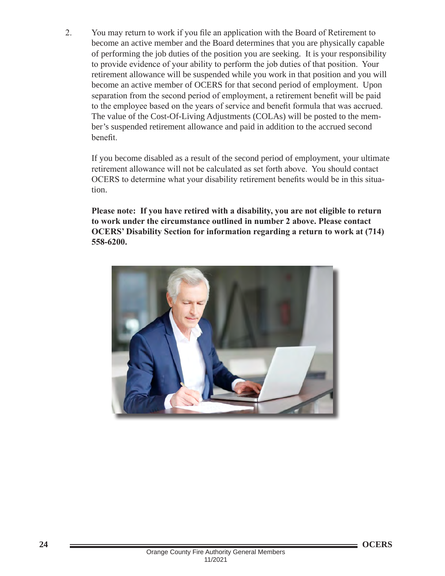2. You may return to work if you file an application with the Board of Retirement to become an active member and the Board determines that you are physically capable of performing the job duties of the position you are seeking. It is your responsibility to provide evidence of your ability to perform the job duties of that position. Your retirement allowance will be suspended while you work in that position and you will become an active member of OCERS for that second period of employment. Upon separation from the second period of employment, a retirement benefit will be paid to the employee based on the years of service and benefit formula that was accrued. The value of the Cost-Of-Living Adjustments (COLAs) will be posted to the member's suspended retirement allowance and paid in addition to the accrued second benefit.

If you become disabled as a result of the second period of employment, your ultimate retirement allowance will not be calculated as set forth above. You should contact OCERS to determine what your disability retirement benefits would be in this situation.

**Please note: If you have retired with a disability, you are not eligible to return to work under the circumstance outlined in number 2 above. Please contact OCERS' Disability Section for information regarding a return to work at (714) 558-6200.**

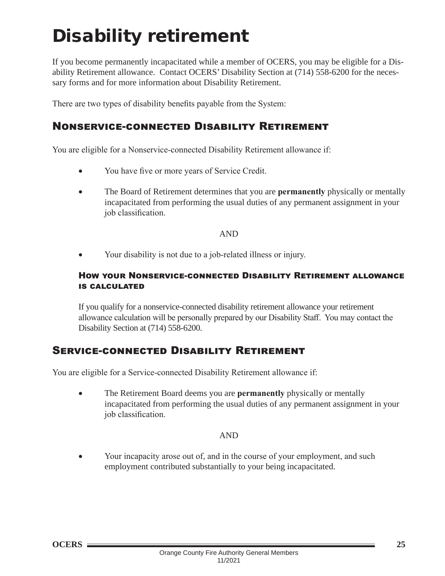## <span id="page-27-0"></span>Disability retirement

If you become permanently incapacitated while a member of OCERS, you may be eligible for a Disability Retirement allowance. Contact OCERS' Disability Section at (714) 558-6200 for the necessary forms and for more information about Disability Retirement.

There are two types of disability benefits payable from the System:

## Nonservice-connected Disability Retirement

You are eligible for a Nonservice-connected Disability Retirement allowance if:

- You have five or more years of Service Credit.
- The Board of Retirement determines that you are **permanently** physically or mentally incapacitated from performing the usual duties of any permanent assignment in your job classification.

#### AND

• Your disability is not due to a job-related illness or injury.

#### How your Nonservice-connected Disability Retirement allowance is calculated

If you qualify for a nonservice-connected disability retirement allowance your retirement allowance calculation will be personally prepared by our Disability Staff. You may contact the Disability Section at (714) 558-6200.

## Service-connected Disability Retirement

You are eligible for a Service-connected Disability Retirement allowance if:

• The Retirement Board deems you are **permanently** physically or mentally incapacitated from performing the usual duties of any permanent assignment in your job classification.

#### AND

• Your incapacity arose out of, and in the course of your employment, and such employment contributed substantially to your being incapacitated.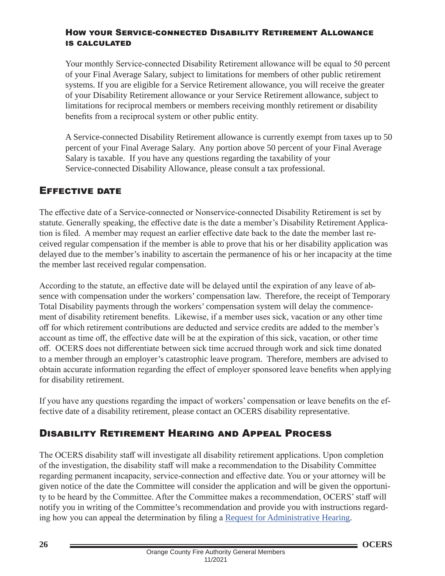#### <span id="page-28-0"></span>How your Service-connected Disability Retirement Allowance is calculated

Your monthly Service-connected Disability Retirement allowance will be equal to 50 percent of your Final Average Salary, subject to limitations for members of other public retirement systems. If you are eligible for a Service Retirement allowance, you will receive the greater of your Disability Retirement allowance or your Service Retirement allowance, subject to limitations for reciprocal members or members receiving monthly retirement or disability benefits from a reciprocal system or other public entity.

A Service-connected Disability Retirement allowance is currently exempt from taxes up to 50 percent of your Final Average Salary. Any portion above 50 percent of your Final Average Salary is taxable. If you have any questions regarding the taxability of your Service-connected Disability Allowance, please consult a tax professional.

### Effective date

The effective date of a Service-connected or Nonservice-connected Disability Retirement is set by statute. Generally speaking, the effective date is the date a member's Disability Retirement Application is filed. A member may request an earlier effective date back to the date the member last received regular compensation if the member is able to prove that his or her disability application was delayed due to the member's inability to ascertain the permanence of his or her incapacity at the time the member last received regular compensation.

According to the statute, an effective date will be delayed until the expiration of any leave of absence with compensation under the workers' compensation law. Therefore, the receipt of Temporary Total Disability payments through the workers' compensation system will delay the commencement of disability retirement benefits. Likewise, if a member uses sick, vacation or any other time off for which retirement contributions are deducted and service credits are added to the member's account as time off, the effective date will be at the expiration of this sick, vacation, or other time off. OCERS does not differentiate between sick time accrued through work and sick time donated to a member through an employer's catastrophic leave program. Therefore, members are advised to obtain accurate information regarding the effect of employer sponsored leave benefits when applying for disability retirement.

If you have any questions regarding the impact of workers' compensation or leave benefits on the effective date of a disability retirement, please contact an OCERS disability representative.

## Disability Retirement Hearing and Appeal Process

The OCERS disability staff will investigate all disability retirement applications. Upon completion of the investigation, the disability staff will make a recommendation to the Disability Committee regarding permanent incapacity, service-connection and effective date. You or your attorney will be given notice of the date the Committee will consider the application and will be given the opportunity to be heard by the Committee. After the Committee makes a recommendation, OCERS' staff will notify you in writing of the Committee's recommendation and provide you with instructions regarding how you can appeal the determination by filing a [Request for Administrative Hearing.](https://www.ocers.org/sites/main/files/file-attachments/administrative_review_and_hearing_policy_for_cases_filed_on_or_after_august_18_2020.pdf?1598398697)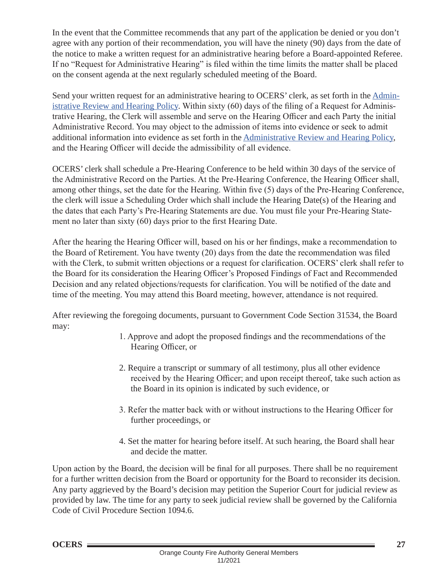In the event that the Committee recommends that any part of the application be denied or you don't agree with any portion of their recommendation, you will have the ninety (90) days from the date of the notice to make a written request for an administrative hearing before a Board-appointed Referee. If no "Request for Administrative Hearing" is filed within the time limits the matter shall be placed on the consent agenda at the next regularly scheduled meeting of the Board.

Send your written request for an administrative hearing to OCERS' clerk, as set forth in the [Admin](https://www.ocers.org/sites/main/files/file-attachments/administrative_review_and_hearing_policy_for_cases_filed_on_or_after_august_18_2020.pdf?1598398697)[istrative Review and Hearing Policy](https://www.ocers.org/sites/main/files/file-attachments/administrative_review_and_hearing_policy_for_cases_filed_on_or_after_august_18_2020.pdf?1598398697). Within sixty (60) days of the filing of a Request for Administrative Hearing, the Clerk will assemble and serve on the Hearing Officer and each Party the initial Administrative Record. You may object to the admission of items into evidence or seek to admit additional information into evidence as set forth in the [Administrative Review and Hearing Policy](https://www.ocers.org/sites/main/files/file-attachments/administrative_review_and_hearing_policy_for_cases_filed_on_or_after_august_18_2020.pdf?1598398697), and the Hearing Officer will decide the admissibility of all evidence.

OCERS' clerk shall schedule a Pre-Hearing Conference to be held within 30 days of the service of the Administrative Record on the Parties. At the Pre-Hearing Conference, the Hearing Officer shall, among other things, set the date for the Hearing. Within five (5) days of the Pre-Hearing Conference, the clerk will issue a Scheduling Order which shall include the Hearing Date(s) of the Hearing and the dates that each Party's Pre-Hearing Statements are due. You must file your Pre-Hearing Statement no later than sixty (60) days prior to the first Hearing Date.

After the hearing the Hearing Officer will, based on his or her findings, make a recommendation to the Board of Retirement. You have twenty (20) days from the date the recommendation was filed with the Clerk, to submit written objections or a request for clarification. OCERS' clerk shall refer to the Board for its consideration the Hearing Officer's Proposed Findings of Fact and Recommended Decision and any related objections/requests for clarification. You will be notified of the date and time of the meeting. You may attend this Board meeting, however, attendance is not required.

After reviewing the foregoing documents, pursuant to Government Code Section 31534, the Board may:

- 1. Approve and adopt the proposed findings and the recommendations of the Hearing Officer, or
- 2. Require a transcript or summary of all testimony, plus all other evidence received by the Hearing Officer; and upon receipt thereof, take such action as the Board in its opinion is indicated by such evidence, or
- 3. Refer the matter back with or without instructions to the Hearing Officer for further proceedings, or
- 4. Set the matter for hearing before itself. At such hearing, the Board shall hear and decide the matter.

Upon action by the Board, the decision will be final for all purposes. There shall be no requirement for a further written decision from the Board or opportunity for the Board to reconsider its decision. Any party aggrieved by the Board's decision may petition the Superior Court for judicial review as provided by law. The time for any party to seek judicial review shall be governed by the California Code of Civil Procedure Section 1094.6.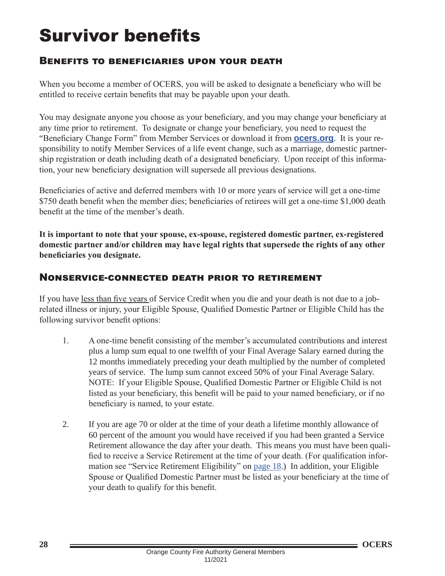## <span id="page-30-0"></span>Survivor benefits

#### Benefits to beneficiaries upon your death

When you become a member of OCERS, you will be asked to designate a beneficiary who will be entitled to receive certain benefits that may be payable upon your death.

You may designate anyone you choose as your beneficiary, and you may change your beneficiary at any time prior to retirement. To designate or change your beneficiary, you need to request the "Beneficiary Change Form" from Member Services or download it from **[ocers.org](https://www.ocers.org)**. It is your responsibility to notify Member Services of a life event change, such as a marriage, domestic partnership registration or death including death of a designated beneficiary. Upon receipt of this information, your new beneficiary designation will supersede all previous designations.

Beneficiaries of active and deferred members with 10 or more years of service will get a one-time \$750 death benefit when the member dies; beneficiaries of retirees will get a one-time \$1,000 death benefit at the time of the member's death.

**It is important to note that your spouse, ex-spouse, registered domestic partner, ex-registered domestic partner and/or children may have legal rights that supersede the rights of any other beneficiaries you designate.** 

#### Nonservice-connected death prior to retirement

If you have less than five years of Service Credit when you die and your death is not due to a jobrelated illness or injury, your Eligible Spouse, Qualified Domestic Partner or Eligible Child has the following survivor benefit options:

- 1. A one-time benefit consisting of the member's accumulated contributions and interest plus a lump sum equal to one twelfth of your Final Average Salary earned during the 12 months immediately preceding your death multiplied by the number of completed years of service. The lump sum cannot exceed 50% of your Final Average Salary. NOTE: If your Eligible Spouse, Qualified Domestic Partner or Eligible Child is not listed as your beneficiary, this benefit will be paid to your named beneficiary, or if no beneficiary is named, to your estate.
- 2. If you are age 70 or older at the time of your death a lifetime monthly allowance of 60 percent of the amount you would have received if you had been granted a Service Retirement allowance the day after your death. This means you must have been qualified to receive a Service Retirement at the time of your death. (For qualification information see "Service Retirement Eligibility" on [page 18.](#page-20-0)) In addition, your Eligible Spouse or Qualified Domestic Partner must be listed as your beneficiary at the time of your death to qualify for this benefit.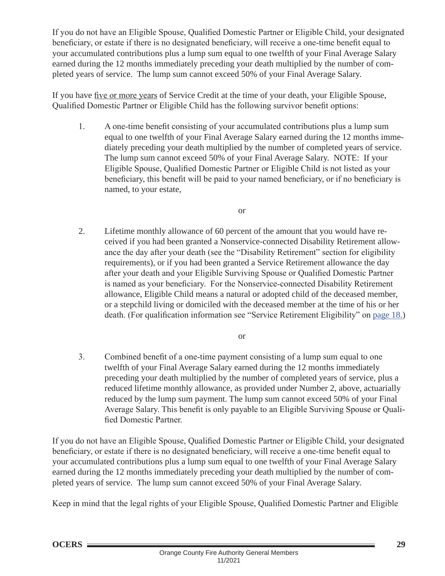If you do not have an Eligible Spouse, Qualified Domestic Partner or Eligible Child, your designated beneficiary, or estate if there is no designated beneficiary, will receive a one-time benefit equal to your accumulated contributions plus a lump sum equal to one twelfth of your Final Average Salary earned during the 12 months immediately preceding your death multiplied by the number of completed years of service. The lump sum cannot exceed 50% of your Final Average Salary.

If you have five or more years of Service Credit at the time of your death, your Eligible Spouse, Qualified Domestic Partner or Eligible Child has the following survivor benefit options:

1. A one-time benefit consisting of your accumulated contributions plus a lump sum equal to one twelfth of your Final Average Salary earned during the 12 months immediately preceding your death multiplied by the number of completed years of service. The lump sum cannot exceed 50% of your Final Average Salary. NOTE: If your Eligible Spouse, Qualified Domestic Partner or Eligible Child is not listed as your beneficiary, this benefit will be paid to your named beneficiary, or if no beneficiary is named, to your estate,

or

2. Lifetime monthly allowance of 60 percent of the amount that you would have received if you had been granted a Nonservice-connected Disability Retirement allowance the day after your death (see the "Disability Retirement" section for eligibility requirements), or if you had been granted a Service Retirement allowance the day after your death and your Eligible Surviving Spouse or Qualified Domestic Partner is named as your beneficiary. For the Nonservice-connected Disability Retirement allowance, Eligible Child means a natural or adopted child of the deceased member, or a stepchild living or domiciled with the deceased member at the time of his or her death. (For qualification information see "Service Retirement Eligibility" on [page 18](#page-20-0).)

or

3. Combined benefit of a one-time payment consisting of a lump sum equal to one twelfth of your Final Average Salary earned during the 12 months immediately preceding your death multiplied by the number of completed years of service, plus a reduced lifetime monthly allowance, as provided under Number 2, above, actuarially reduced by the lump sum payment. The lump sum cannot exceed 50% of your Final Average Salary. This benefit is only payable to an Eligible Surviving Spouse or Qualified Domestic Partner.

If you do not have an Eligible Spouse, Qualified Domestic Partner or Eligible Child, your designated beneficiary, or estate if there is no designated beneficiary, will receive a one-time benefit equal to your accumulated contributions plus a lump sum equal to one twelfth of your Final Average Salary earned during the 12 months immediately preceding your death multiplied by the number of completed years of service. The lump sum cannot exceed 50% of your Final Average Salary.

Keep in mind that the legal rights of your Eligible Spouse, Qualified Domestic Partner and Eligible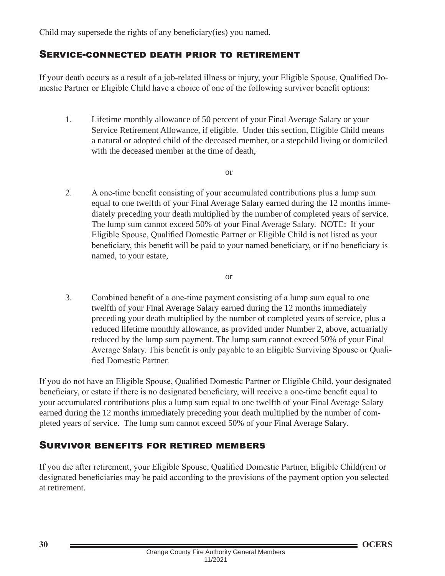Child may supersede the rights of any beneficiary(ies) you named.

#### Service-connected death prior to retirement

If your death occurs as a result of a job-related illness or injury, your Eligible Spouse, Qualified Domestic Partner or Eligible Child have a choice of one of the following survivor benefit options:

1. Lifetime monthly allowance of 50 percent of your Final Average Salary or your Service Retirement Allowance, if eligible. Under this section, Eligible Child means a natural or adopted child of the deceased member, or a stepchild living or domiciled with the deceased member at the time of death,

or

2. A one-time benefit consisting of your accumulated contributions plus a lump sum equal to one twelfth of your Final Average Salary earned during the 12 months immediately preceding your death multiplied by the number of completed years of service. The lump sum cannot exceed 50% of your Final Average Salary. NOTE: If your Eligible Spouse, Qualified Domestic Partner or Eligible Child is not listed as your beneficiary, this benefit will be paid to your named beneficiary, or if no beneficiary is named, to your estate,

or

3. Combined benefit of a one-time payment consisting of a lump sum equal to one twelfth of your Final Average Salary earned during the 12 months immediately preceding your death multiplied by the number of completed years of service, plus a reduced lifetime monthly allowance, as provided under Number 2, above, actuarially reduced by the lump sum payment. The lump sum cannot exceed 50% of your Final Average Salary. This benefit is only payable to an Eligible Surviving Spouse or Qualified Domestic Partner.

If you do not have an Eligible Spouse, Qualified Domestic Partner or Eligible Child, your designated beneficiary, or estate if there is no designated beneficiary, will receive a one-time benefit equal to your accumulated contributions plus a lump sum equal to one twelfth of your Final Average Salary earned during the 12 months immediately preceding your death multiplied by the number of completed years of service. The lump sum cannot exceed 50% of your Final Average Salary.

#### Survivor benefits for retired members

If you die after retirement, your Eligible Spouse, Qualified Domestic Partner, Eligible Child(ren) or designated beneficiaries may be paid according to the provisions of the payment option you selected at retirement.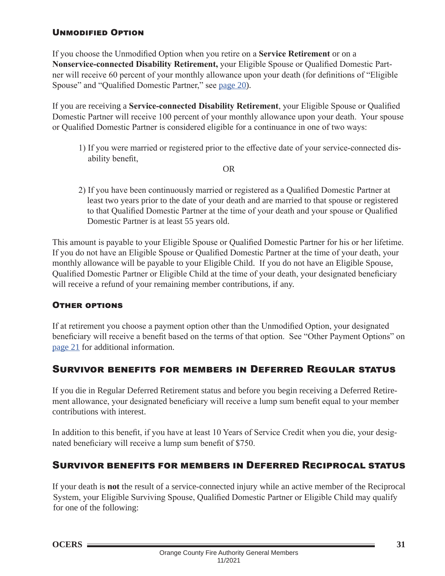#### Unmodified Option

If you choose the Unmodified Option when you retire on a **Service Retirement** or on a **Nonservice-connected Disability Retirement,** your Eligible Spouse or Qualified Domestic Partner will receive 60 percent of your monthly allowance upon your death (for definitions of "Eligible Spouse" and "Qualified Domestic Partner," see [page 20](#page-22-0)).

If you are receiving a **Service-connected Disability Retirement**, your Eligible Spouse or Qualified Domestic Partner will receive 100 percent of your monthly allowance upon your death. Your spouse or Qualified Domestic Partner is considered eligible for a continuance in one of two ways:

1) If you were married or registered prior to the effective date of your service-connected disability benefit,

#### OR

2) If you have been continuously married or registered as a Qualified Domestic Partner at least two years prior to the date of your death and are married to that spouse or registered to that Qualified Domestic Partner at the time of your death and your spouse or Qualified Domestic Partner is at least 55 years old.

This amount is payable to your Eligible Spouse or Qualified Domestic Partner for his or her lifetime. If you do not have an Eligible Spouse or Qualified Domestic Partner at the time of your death, your monthly allowance will be payable to your Eligible Child. If you do not have an Eligible Spouse, Qualified Domestic Partner or Eligible Child at the time of your death, your designated beneficiary will receive a refund of your remaining member contributions, if any.

#### **OTHER OPTIONS**

If at retirement you choose a payment option other than the Unmodified Option, your designated beneficiary will receive a benefit based on the terms of that option. See "Other Payment Options" on [page 21](#page-23-0) for additional information.

#### Survivor benefits for members in Deferred Regular status

If you die in Regular Deferred Retirement status and before you begin receiving a Deferred Retirement allowance, your designated beneficiary will receive a lump sum benefit equal to your member contributions with interest.

In addition to this benefit, if you have at least 10 Years of Service Credit when you die, your designated beneficiary will receive a lump sum benefit of \$750.

## Survivor benefits for members in Deferred Reciprocal status

If your death is **not** the result of a service-connected injury while an active member of the Reciprocal System, your Eligible Surviving Spouse, Qualified Domestic Partner or Eligible Child may qualify for one of the following: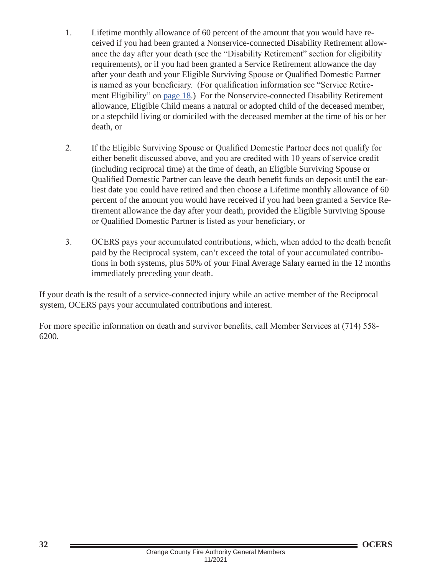- 1. Lifetime monthly allowance of 60 percent of the amount that you would have received if you had been granted a Nonservice-connected Disability Retirement allowance the day after your death (see the "Disability Retirement" section for eligibility requirements), or if you had been granted a Service Retirement allowance the day after your death and your Eligible Surviving Spouse or Qualified Domestic Partner is named as your beneficiary. (For qualification information see "Service Retirement Eligibility" on [page 18](#page-20-0).) For the Nonservice-connected Disability Retirement allowance, Eligible Child means a natural or adopted child of the deceased member, or a stepchild living or domiciled with the deceased member at the time of his or her death, or
- 2. If the Eligible Surviving Spouse or Qualified Domestic Partner does not qualify for either benefit discussed above, and you are credited with 10 years of service credit (including reciprocal time) at the time of death, an Eligible Surviving Spouse or Qualified Domestic Partner can leave the death benefit funds on deposit until the earliest date you could have retired and then choose a Lifetime monthly allowance of 60 percent of the amount you would have received if you had been granted a Service Retirement allowance the day after your death, provided the Eligible Surviving Spouse or Qualified Domestic Partner is listed as your beneficiary, or
- 3. OCERS pays your accumulated contributions, which, when added to the death benefit paid by the Reciprocal system, can't exceed the total of your accumulated contributions in both systems, plus 50% of your Final Average Salary earned in the 12 months immediately preceding your death.

If your death **is** the result of a service-connected injury while an active member of the Reciprocal system, OCERS pays your accumulated contributions and interest.

For more specific information on death and survivor benefits, call Member Services at (714) 558- 6200.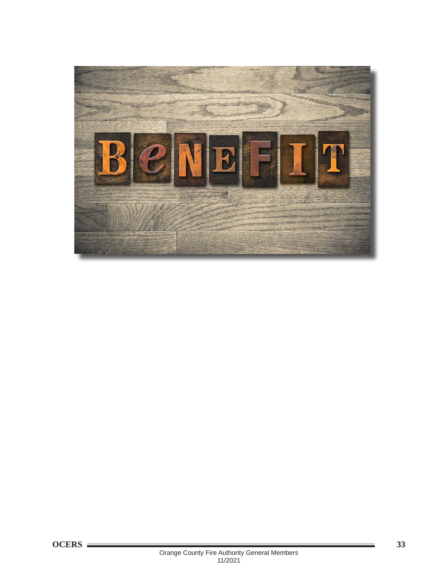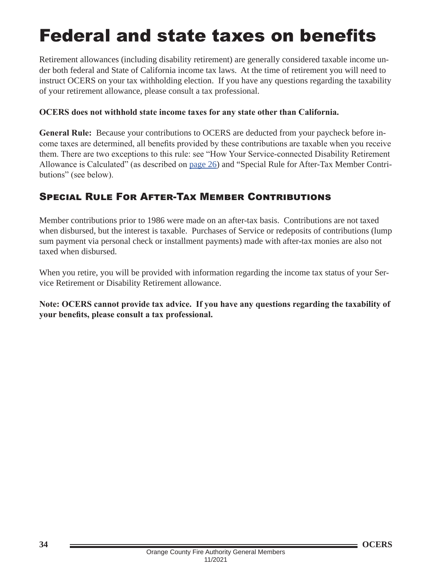## Federal and state taxes on benefits

Retirement allowances (including disability retirement) are generally considered taxable income under both federal and State of California income tax laws. At the time of retirement you will need to instruct OCERS on your tax withholding election. If you have any questions regarding the taxability of your retirement allowance, please consult a tax professional.

#### **OCERS does not withhold state income taxes for any state other than California.**

**General Rule:** Because your contributions to OCERS are deducted from your paycheck before income taxes are determined, all benefits provided by these contributions are taxable when you receive them. There are two exceptions to this rule: see "How Your Service-connected Disability Retirement Allowance is Calculated" (as described on [page 2](#page-28-0)6) and "Special Rule for After-Tax Member Contributions" (see below).

### Special Rule For After-Tax Member Contributions

Member contributions prior to 1986 were made on an after-tax basis. Contributions are not taxed when disbursed, but the interest is taxable. Purchases of Service or redeposits of contributions (lump sum payment via personal check or installment payments) made with after-tax monies are also not taxed when disbursed.

When you retire, you will be provided with information regarding the income tax status of your Service Retirement or Disability Retirement allowance.

**Note: OCERS cannot provide tax advice. If you have any questions regarding the taxability of your benefits, please consult a tax professional.**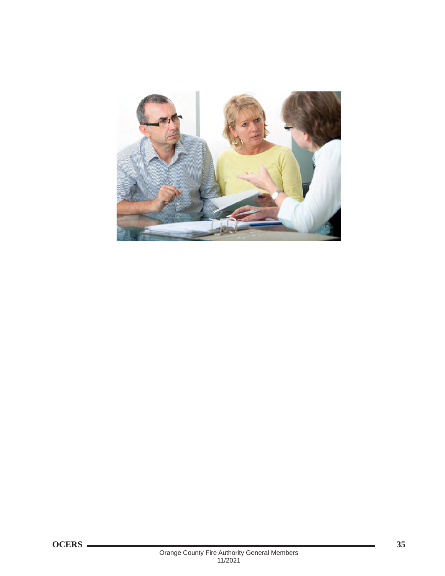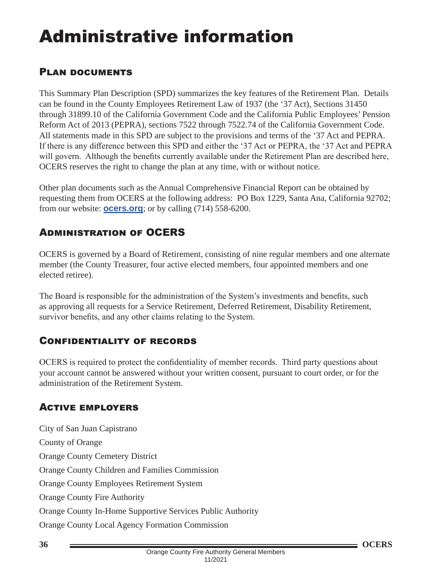## Administrative information

## Plan documents

This Summary Plan Description (SPD) summarizes the key features of the Retirement Plan. Details can be found in the County Employees Retirement Law of 1937 (the '37 Act), Sections 31450 through 31899.10 of the California Government Code and the California Public Employees' Pension Reform Act of 2013 (PEPRA), sections 7522 through 7522.74 of the California Government Code. All statements made in this SPD are subject to the provisions and terms of the '37 Act and PEPRA. If there is any difference between this SPD and either the '37 Act or PEPRA, the '37 Act and PEPRA will govern. Although the benefits currently available under the Retirement Plan are described here, OCERS reserves the right to change the plan at any time, with or without notice.

Other plan documents such as the Annual Comprehensive Financial Report can be obtained by requesting them from OCERS at the following address: PO Box 1229, Santa Ana, California 92702; from our website: **[ocers.org](https://www.ocers.org)**; or by calling (714) 558-6200.

### Administration of OCERS

OCERS is governed by a Board of Retirement, consisting of nine regular members and one alternate member (the County Treasurer, four active elected members, four appointed members and one elected retiree).

The Board is responsible for the administration of the System's investments and benefits, such as approving all requests for a Service Retirement, Deferred Retirement, Disability Retirement, survivor benefits, and any other claims relating to the System.

#### Confidentiality of records

OCERS is required to protect the confidentiality of member records. Third party questions about your account cannot be answered without your written consent, pursuant to court order, or for the administration of the Retirement System.

## Active employers

City of San Juan Capistrano County of Orange Orange County Cemetery District Orange County Children and Families Commission Orange County Employees Retirement System Orange County Fire Authority Orange County In-Home Supportive Services Public Authority Orange County Local Agency Formation Commission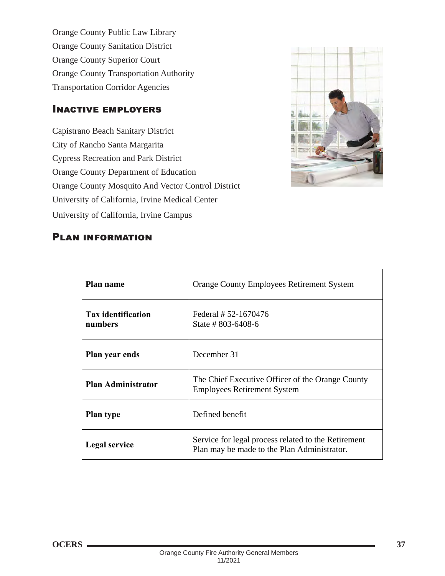Orange County Public Law Library Orange County Sanitation District Orange County Superior Court Orange County Transportation Authority Transportation Corridor Agencies

#### Inactive employers

Capistrano Beach Sanitary District City of Rancho Santa Margarita Cypress Recreation and Park District Orange County Department of Education Orange County Mosquito And Vector Control District University of California, Irvine Medical Center University of California, Irvine Campus



#### Plan information

| <b>Plan name</b>                     | <b>Orange County Employees Retirement System</b>                                                   |
|--------------------------------------|----------------------------------------------------------------------------------------------------|
| <b>Tax identification</b><br>numbers | Federal # 52-1670476<br>State # 803-6408-6                                                         |
| Plan year ends                       | December 31                                                                                        |
| <b>Plan Administrator</b>            | The Chief Executive Officer of the Orange County<br><b>Employees Retirement System</b>             |
| <b>Plan type</b>                     | Defined benefit                                                                                    |
| Legal service                        | Service for legal process related to the Retirement<br>Plan may be made to the Plan Administrator. |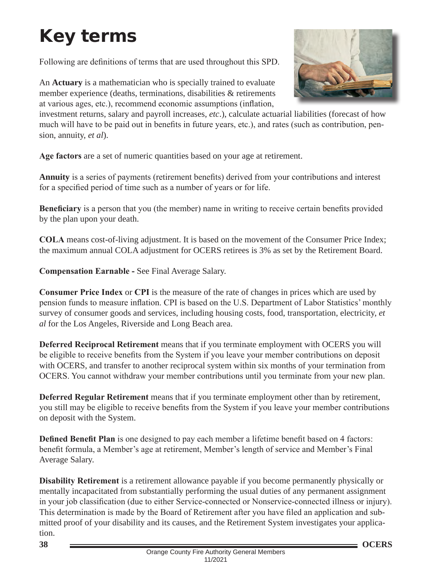## <span id="page-40-0"></span>Key terms

Following are definitions of terms that are used throughout this SPD.

An **Actuary** is a mathematician who is specially trained to evaluate member experience (deaths, terminations, disabilities & retirements at various ages, etc.), recommend economic assumptions (inflation,

investment returns, salary and payroll increases, *etc*.), calculate actuarial liabilities (forecast of how much will have to be paid out in benefits in future years, etc.), and rates (such as contribution, pension, annuity, *et al*).

**Age factors** are a set of numeric quantities based on your age at retirement.

**Annuity** is a series of payments (retirement benefits) derived from your contributions and interest for a specified period of time such as a number of years or for life.

**Beneficiary** is a person that you (the member) name in writing to receive certain benefits provided by the plan upon your death.

**COLA** means cost-of-living adjustment. It is based on the movement of the Consumer Price Index; the maximum annual COLA adjustment for OCERS retirees is 3% as set by the Retirement Board.

**Compensation Earnable -** See Final Average Salary.

**Consumer Price Index** or **CPI** is the measure of the rate of changes in prices which are used by pension funds to measure inflation. CPI is based on the U.S. Department of Labor Statistics' monthly survey of consumer goods and services, including housing costs, food, transportation, electricity, *et al* for the Los Angeles, Riverside and Long Beach area.

**Deferred Reciprocal Retirement** means that if you terminate employment with OCERS you will be eligible to receive benefits from the System if you leave your member contributions on deposit with OCERS, and transfer to another reciprocal system within six months of your termination from OCERS. You cannot withdraw your member contributions until you terminate from your new plan.

**Deferred Regular Retirement** means that if you terminate employment other than by retirement, you still may be eligible to receive benefits from the System if you leave your member contributions on deposit with the System.

**Defined Benefit Plan** is one designed to pay each member a lifetime benefit based on 4 factors: benefit formula, a Member's age at retirement, Member's length of service and Member's Final Average Salary.

**Disability Retirement** is a retirement allowance payable if you become permanently physically or mentally incapacitated from substantially performing the usual duties of any permanent assignment in your job classification (due to either Service-connected or Nonservice-connected illness or injury). This determination is made by the Board of Retirement after you have filed an application and submitted proof of your disability and its causes, and the Retirement System investigates your application.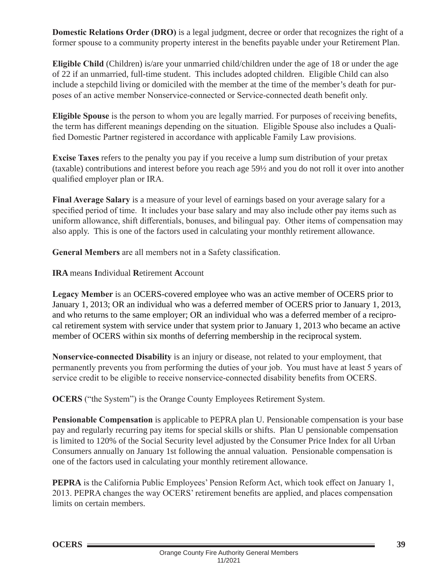<span id="page-41-0"></span>**Domestic Relations Order (DRO)** is a legal judgment, decree or order that recognizes the right of a former spouse to a community property interest in the benefits payable under your Retirement Plan.

**Eligible Child** (Children) is/are your unmarried child/children under the age of 18 or under the age of 22 if an unmarried, full-time student. This includes adopted children. Eligible Child can also include a stepchild living or domiciled with the member at the time of the member's death for purposes of an active member Nonservice-connected or Service-connected death benefit only.

**Eligible Spouse** is the person to whom you are legally married. For purposes of receiving benefits, the term has different meanings depending on the situation. Eligible Spouse also includes a Qualified Domestic Partner registered in accordance with applicable Family Law provisions.

**Excise Taxes** refers to the penalty you pay if you receive a lump sum distribution of your pretax (taxable) contributions and interest before you reach age 59½ and you do not roll it over into another qualified employer plan or IRA.

**Final Average Salary** is a measure of your level of earnings based on your average salary for a specified period of time. It includes your base salary and may also include other pay items such as uniform allowance, shift differentials, bonuses, and bilingual pay. Other items of compensation may also apply. This is one of the factors used in calculating your monthly retirement allowance.

**General Members** are all members not in a Safety classification.

**IRA** means **I**ndividual **R**etirement **A**ccount

**Legacy Member** is an OCERS-covered employee who was an active member of OCERS prior to January 1, 2013; OR an individual who was a deferred member of OCERS prior to January 1, 2013, and who returns to the same employer; OR an individual who was a deferred member of a reciprocal retirement system with service under that system prior to January 1, 2013 who became an active member of OCERS within six months of deferring membership in the reciprocal system.

**Nonservice-connected Disability** is an injury or disease, not related to your employment, that permanently prevents you from performing the duties of your job. You must have at least 5 years of service credit to be eligible to receive nonservice-connected disability benefits from OCERS.

**OCERS** ("the System") is the Orange County Employees Retirement System.

**Pensionable Compensation** is applicable to PEPRA plan U. Pensionable compensation is your base pay and regularly recurring pay items for special skills or shifts. Plan U pensionable compensation is limited to 120% of the Social Security level adjusted by the Consumer Price Index for all Urban Consumers annually on January 1st following the annual valuation. Pensionable compensation is one of the factors used in calculating your monthly retirement allowance.

**PEPRA** is the California Public Employees' Pension Reform Act, which took effect on January 1, 2013. PEPRA changes the way OCERS' retirement benefits are applied, and places compensation limits on certain members.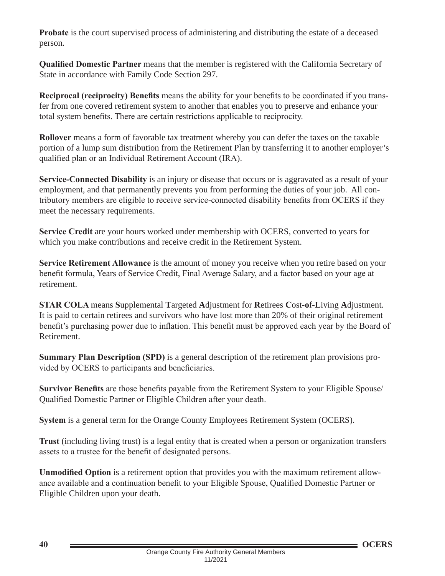**Probate** is the court supervised process of administering and distributing the estate of a deceased person.

**Qualified Domestic Partner** means that the member is registered with the California Secretary of State in accordance with Family Code Section 297.

**Reciprocal (reciprocity) Benefits** means the ability for your benefits to be coordinated if you transfer from one covered retirement system to another that enables you to preserve and enhance your total system benefits. There are certain restrictions applicable to reciprocity.

**Rollover** means a form of favorable tax treatment whereby you can defer the taxes on the taxable portion of a lump sum distribution from the Retirement Plan by transferring it to another employer's qualified plan or an Individual Retirement Account (IRA).

**Service-Connected Disability** is an injury or disease that occurs or is aggravated as a result of your employment, and that permanently prevents you from performing the duties of your job. All contributory members are eligible to receive service-connected disability benefits from OCERS if they meet the necessary requirements.

**Service Credit** are your hours worked under membership with OCERS, converted to years for which you make contributions and receive credit in the Retirement System.

**Service Retirement Allowance** is the amount of money you receive when you retire based on your benefit formula, Years of Service Credit, Final Average Salary, and a factor based on your age at retirement.

**STAR COLA** means **S**upplemental **T**argeted **A**djustment for **R**etirees **C**ost-**o**f-**L**iving **A**djustment. It is paid to certain retirees and survivors who have lost more than 20% of their original retirement benefit's purchasing power due to inflation. This benefit must be approved each year by the Board of Retirement.

**Summary Plan Description (SPD)** is a general description of the retirement plan provisions provided by OCERS to participants and beneficiaries.

**Survivor Benefits** are those benefits payable from the Retirement System to your Eligible Spouse/ Qualified Domestic Partner or Eligible Children after your death.

**System** is a general term for the Orange County Employees Retirement System (OCERS).

**Trust** (including living trust) is a legal entity that is created when a person or organization transfers assets to a trustee for the benefit of designated persons.

**Unmodified Option** is a retirement option that provides you with the maximum retirement allowance available and a continuation benefit to your Eligible Spouse, Qualified Domestic Partner or Eligible Children upon your death.

**40 OCERS**